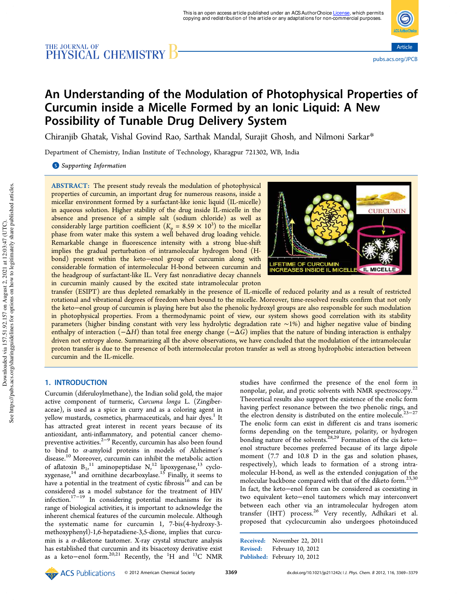# THE JOURNAL OF CHEMISTRY B



## An Understanding of the Modulation of Photophysical Properties of Curcumin inside a Micelle Formed by an Ionic Liquid: A New Possibility of Tunable Drug Delivery System

Chiranjib Ghatak, Vishal Govind Rao, Sarthak Mandal, Surajit Ghosh, and Nilmoni Sarkar\*

Department of Chemistry, Indian Institute of Technology, Kharagpur 721302, WB, India

**S** Supporting Information

ABSTRACT: The present study reveals the modulation of photophysical properties of curcumin, an important drug for numerous reasons, inside a micellar environment formed by a surfactant-like ionic liquid (IL-micelle) in aqueous solution. Higher stability of the drug inside IL-micelle in the absence and presence of a simple salt (sodium chloride) as well as considerably large partition coefficient  $(K_p = 8.59 \times 10^3)$  to the micellar phase from water make this system a well behaved drug loading vehicle. Remarkable change in fluorescence intensity with a strong blue-shift implies the gradual perturbation of intramolecular hydrogen bond (Hbond) present within the keto−enol group of curcumin along with considerable formation of intermolecular H-bond between curcumin and the headgroup of surfactant-like IL. Very fast nonradiative decay channels in curcumin mainly caused by the excited state intramolecular proton



transfer (ESIPT) are thus depleted remarkably in the presence of IL-micelle of reduced polarity and as a result of restricted rotational and vibrational degrees of freedom when bound to the micelle. Moreover, time-resolved results confirm that not only the keto−enol group of curcumin is playing here but also the phenolic hydroxyl groups are also responsible for such modulation in photophysical properties. From a thermodynamic point of view, our system shows good correlation with its stability parameters (higher binding constant with very less hydrolytic degradation rate ∼1%) and higher negative value of binding enthalpy of interaction (−Δ*H*) than total free energy change (−Δ*G*) implies that the nature of binding interaction is enthalpy driven not entropy alone. Summarizing all the above observations, we have concluded that the modulation of the intramolecular proton transfer is due to the presence of both intermolecular proton transfer as well as strong hydrophobic interaction between curcumin and the IL-micelle.

#### 1. INTRODUCTION

Curcumin (diferuloylmethane), the Indian solid gold, the major active component of turmeric, *Curcuma longa* L. (Zingiberaceae), is used as a spice in curry and as a coloring agent in yellow mustards, cosmetics, pharmaceuticals, and hair dyes.<sup>1</sup> It has attracted great interest in recent years because of its antioxidant, anti-inflammatory, and potential cancer chemopreventive activities.<sup>2−9</sup> Recently, curcumin has also been found to bind to  $\alpha$ -amyloid proteins in models of Alzheimer's disease.<sup>10</sup> Moreover, curcumin can inhibit the metabolic action of aflatoxin  $B_1$ ,<sup>11</sup> aminopeptidase  $N$ ,<sup>12</sup> lipoxygenase,<sup>13</sup> cyclo-, xygenase, <sup>14</sup> and ornithine decarboxylase.<sup>15</sup> Finally, it seems to have a potential in the treatment of cystic fibrosis<sup>16</sup> and can be considered as a model substance for the treatment of HIV infection.17−<sup>19</sup> In considering potential mechanisms for its range of biological activities, it is important to acknowledge the inherent chemical features of the curcumin molecule. Although the systematic name for curcumin 1, 7-bis(4-hydroxy-3 methoxyphenyl)-1,6-hepatadiene-3,5-dione, implies that curcumin is a  $\alpha$ -diketone tautomer. X-ray crystal structure analysis has established that curcumin and its bisacetoxy derivative exist as a keto-enol form.<sup>20,21</sup> Recently, the <sup>1</sup>H and <sup>13</sup>C NMR studies have confirmed the presence of the enol form in nonpolar, polar, and protic solvents with NMR spectroscopy.<sup>22</sup> Theoretical results also support the existence of the enolic form having perfect resonance between the two phenolic rings, and the electron density is distributed on the entire molecule.<sup>23−27</sup> The enolic form can exist in different cis and trans isomeric forms depending on the temperature, polarity, or hydrogen bonding nature of the solvents.<sup>28,29</sup> Formation of the cis keto− enol structure becomes preferred because of its large dipole moment (7.7 and 10.8 D in the gas and solution phases, respectively), which leads to formation of a strong intramolecular H-bond, as well as the extended conjugation of the molecular backbone compared with that of the diketo form.23,30 In fact, the keto−enol form can be considered as coexisting in two equivalent keto−enol tautomers which may interconvert between each other via an intramolecular hydrogen atom transfer (IHT) process.<sup>26</sup> Very recently, Adhikari et al. proposed that cyclocurcumin also undergoes photoinduced

```
Received: November 22, 2011
Revised: February 10, 2012
Published: February 10, 2012
```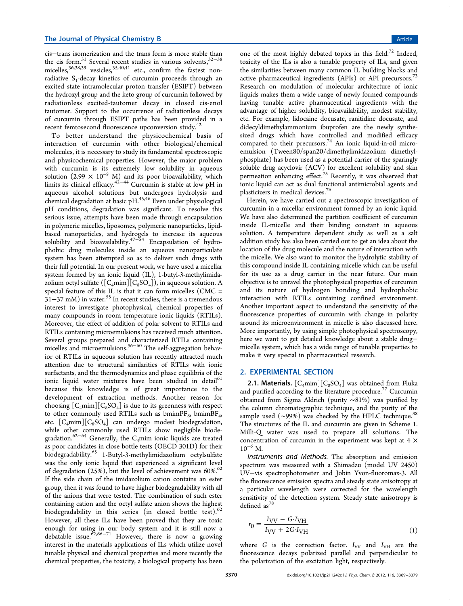cis−trans isomerization and the trans form is more stable than the cis form.<sup>31</sup> Several recent studies in various solvents,<sup>32–38</sup> micelles,<sup>36,38,39</sup> vesicles,<sup>35,40,41</sup> etc., confirm the fastest nonradiative  $S_1$ -decay kinetics of curcumin proceeds through an excited state intramolecular proton transfer (ESIPT) between the hydroxyl group and the keto group of curcumin followed by radiationless excited-tautomer decay in closed cis-enol tautomer. Support to the occurrence of radiationless decays of curcumin through ESIPT paths has been provided in a recent femtosecond fluorescence upconversion study.<sup>42</sup>

To better understand the physicochemical basis of interaction of curcumin with other biological/chemical molecules, it is necessary to study its fundamental spectroscopic and physicochemical properties. However, the major problem with curcumin is its extremely low solubility in aqueous solution (2.99  $\times$  10<sup>-8</sup> M) and its poor bioavailability, which limits its clinical efficacy.42−<sup>44</sup> Curcumin is stable at low pH in aqueous alcohol solutions but undergoes hydrolysis and chemical degradation at basic pH.<sup>45,46</sup> Even under physiological pH conditions, degradation was significant. To resolve this serious issue, attempts have been made through encapsulation in polymeric micelles, liposomes, polymeric nanoparticles, lipidbased nanoparticles, and hydrogels to increase its aqueous solubility and bioavailability. $47-54$  Encapsulation of hydrophobic drug molecules inside an aqueous nanoparticulate system has been attempted so as to deliver such drugs with their full potential. In our present work, we have used a micellar system formed by an ionic liquid (IL), 1-butyl-3-methylimidazolium octyl sulfate  $([C_4mim][C_8SO_4])$ , in aqueous solution. A special feature of this IL is that it can form micelles (CMC =  $31-37$  mM) in water.<sup>55</sup> In recent studies, there is a tremendous interest to investigate photophysical, chemical properties of many compounds in room temperature ionic liquids (RTILs). Moreover, the effect of addition of polar solvent to RTILs and RTILs containing microemulsions has received much attention. Several groups prepared and characterized RTILs containing micelles and microemulsions.<sup>56–60</sup> The self-aggregation behavior of RTILs in aqueous solution has recently attracted much attention due to structural similarities of RTILs with ionic surfactants, and the thermodynamics and phase equilibria of the ionic liquid water mixtures have been studied in detail<sup>61</sup> because this knowledge is of great importance to the development of extraction methods. Another reason for choosing  $[C_4$ mim] $[C_8$ SO<sub>4</sub>] is due to its greenness with respect to other commonly used RTILs such as  $bminPF_6$ ,  $bminBF_4$ , etc.  $[C_4 \text{min}][C_8 \text{SO}_4]$  can undergo modest biodegradation, while other commonly used RTILs show negligible biodegradation.<sup>62−64</sup> Generally, the C<sub>4</sub>mim ionic liquids are treated as poor candidates in close bottle tests (OECD 301D) for their biodegradability.<sup>65</sup> 1-Butyl-3-methylimidazolium octylsulfate was the only ionic liquid that experienced a significant level of degradation  $(25%)$ , but the level of achievement was 60%.<sup>62</sup> If the side chain of the imidazolium cation contains an ester group, then it was found to have higher biodegradability with all of the anions that were tested. The combination of such ester containing cation and the octyl sulfate anion shows the highest biodegradability in this series (in closed bottle test).<sup>62</sup> However, all these ILs have been proved that they are toxic enough for using in our body system and it is still now a<br>debatable issue.<sup>62,66−71</sup> However, there is now a growing interest in the materials applications of ILs which utilize novel tunable physical and chemical properties and more recently the chemical properties, the toxicity, a biological property has been

one of the most highly debated topics in this field.<sup>72</sup> Indeed, toxicity of the ILs is also a tunable property of ILs, and given the similarities between many common IL building blocks and active pharmaceutical ingredients (APIs) or API precursors.<sup>73</sup> Research on modulation of molecular architecture of ionic liquids makes them a wide range of newly formed compounds having tunable active pharmaceutical ingredients with the advantage of higher solubility, bioavailability, modest stability, etc. For example, lidocaine docusate, ranitidine docusate, and didecyldimethylammonium ibuprofen are the newly synthesized drugs which have controlled and modified efficacy compared to their precursors.<sup>74</sup> An ionic liquid-in-oil microemulsion (Tween80/span20/dimethylimidazolium dimethylphosphate) has been used as a potential carrier of the sparingly soluble drug acyclovir (ACV) for excellent solubility and skin permeation enhancing effect.<sup>75</sup> Recently, it was observed that ionic liquid can act as dual functional antimicrobial agents and plasticizers in medical devices.<sup>76</sup>

Herein, we have carried out a spectroscopic investigation of curcumin in a micellar environment formed by an ionic liquid. We have also determined the partition coefficient of curcumin inside IL-micelle and their binding constant in aqueous solution. A temperature dependent study as well as a salt addition study has also been carried out to get an idea about the location of the drug molecule and the nature of interaction with the micelle. We also want to monitor the hydrolytic stability of this compound inside IL containing micelle which can be useful for its use as a drug carrier in the near future. Our main objective is to unravel the photophysical properties of curcumin and its nature of hydrogen bonding and hydrophobic interaction with RTILs containing confined environment. Another important aspect to understand the sensitivity of the fluorescence properties of curcumin with change in polarity around its microenvironment in micelle is also discussed here. More importantly, by using simple photophysical spectroscopy, here we want to get detailed knowledge about a stable drug− micelle system, which has a wide range of tunable properties to make it very special in pharmaceutical research.

#### 2. EXPERIMENTAL SECTION

**2.1. Materials.**  $[C_4 \text{min}][C_8 \text{SO}_4]$  was obtained from Fluka and purified according to the literature procedure.<sup>77</sup> Curcumin obtained from Sigma Aldrich (purity ∼81%) was purified by the column chromatographic technique, and the purity of the sample used (~99%) was checked by the HPLC technique.<sup>38</sup> The structures of the IL and curcumin are given in Scheme 1. Milli-Q water was used to prepare all solutions. The concentration of curcumin in the experiment was kept at 4 ×  $10^{-6}$  M.

Instruments and Methods. The absorption and emission spectrum was measured with a Shimadzu (model UV 2450) UV−vis spectrophotometer and Jobin Yvon-fluoromax-3. All the fluorescence emission spectra and steady state anisotropy at a particular wavelength were corrected for the wavelength sensitivity of the detection system. Steady state anisotropy is defined as<sup>7</sup>

$$
r_0 = \frac{I_{\text{VV}} - G \cdot I_{\text{VH}}}{I_{\text{VV}} + 2G \cdot I_{\text{VH}}}
$$
\n<sup>(1)</sup>

where *G* is the correction factor.  $I_{VV}$  and  $I_{VH}$  are the fluorescence decays polarized parallel and perpendicular to the polarization of the excitation light, respectively.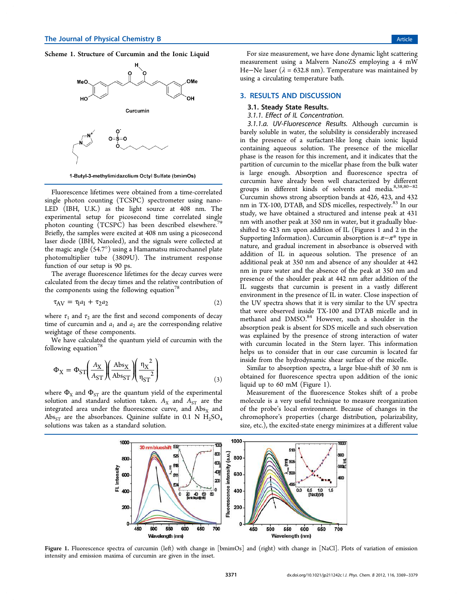Scheme 1. Structure of Curcumin and the Ionic Liquid



1-Butyl-3-methylimidazolium Octyl Sulfate (bmimOs)

Fluorescence lifetimes were obtained from a time-correlated single photon counting (TCSPC) spectrometer using nano-LED (IBH, U.K.) as the light source at 408 nm. The experimental setup for picosecond time correlated single photon counting  $(TCSPC)$  has been described elsewhere.<sup>7</sup> Briefly, the samples were excited at 408 nm using a picosecond laser diode (IBH, Nanoled), and the signals were collected at the magic angle (54.7°) using a Hamamatsu microchannel plate photomultiplier tube (3809U). The instrument response function of our setup is 90 ps.

The average fluorescence lifetimes for the decay curves were calculated from the decay times and the relative contribution of the components using the following equation<sup>78</sup>

$$
\tau_{AV} = \tau_1 a_1 + \tau_2 a_2 \tag{2}
$$

where  $\tau_1$  and  $\tau_2$  are the first and second components of decay time of curcumin and  $a_1$  and  $a_2$  are the corresponding relative weightage of these components.

We have calculated the quantum yield of curcumin with the following equation $78$ 

$$
\Phi_{\rm X} = \Phi_{\rm ST} \left( \frac{A_{\rm X}}{A_{\rm ST}} \right) \left( \frac{\text{Abs}_{\rm X}}{\text{Abs}_{\rm ST}} \right) \left( \frac{\eta_{\rm X}^2}{\eta_{\rm ST}^2} \right) \tag{3}
$$

where  $\Phi_{\text{X}}$  and  $\Phi_{\text{ST}}$  are the quantum yield of the experimental solution and standard solution taken.  $A_X$  and  $A_{ST}$  are the integrated area under the fluorescence curve, and  $\text{Abs}_{\text{X}}$  and Abs<sub>ST</sub> are the absorbances. Quinine sulfate in 0.1 N  $H_2SO_4$ solutions was taken as a standard solution.

For size measurement, we have done dynamic light scattering measurement using a Malvern NanoZS employing a 4 mW He–Ne laser ( $\lambda$  = 632.8 nm). Temperature was maintained by using a circulating temperature bath.

#### 3. RESULTS AND DISCUSSION

#### 3.1. Steady State Results.

3.1.1. Effect of IL Concentration.

3.1.1.a. UV-Fluorescence Results. Although curcumin is barely soluble in water, the solubility is considerably increased in the presence of a surfactant-like long chain ionic liquid containing aqueous solution. The presence of the micellar phase is the reason for this increment, and it indicates that the partition of curcumin to the micellar phase from the bulk water is large enough. Absorption and fluorescence spectra of curcumin have already been well characterized by different groups in different kinds of solvents and media.8,38,80−<sup>82</sup> Curcumin shows strong absorption bands at 426, 423, and 432 nm in TX-100, DTAB, and SDS micelles, respectively.<sup>83</sup> In our study, we have obtained a structured and intense peak at 431 nm with another peak at 350 nm in water, but it gradually blueshifted to 423 nm upon addition of IL (Figures 1 and 2 in the Supporting Information). Curcumin absorption is  $\pi-\pi^*$  type in nature, and gradual increment in absorbance is observed with addition of IL in aqueous solution. The presence of an additional peak at 350 nm and absence of any shoulder at 442 nm in pure water and the absence of the peak at 350 nm and presence of the shoulder peak at 442 nm after addition of the IL suggests that curcumin is present in a vastly different environment in the presence of IL in water. Close inspection of the UV spectra shows that it is very similar to the UV spectra that were observed inside TX-100 and DTAB micelle and in methanol and DMSO.<sup>84</sup> However, such a shoulder in the absorption peak is absent for SDS micelle and such observation was explained by the presence of strong interaction of water with curcumin located in the Stern layer. This information helps us to consider that in our case curcumin is located far inside from the hydrodynamic shear surface of the micelle.

Similar to absorption spectra, a large blue-shift of 30 nm is obtained for fluorescence spectra upon addition of the ionic liquid up to 60 mM (Figure 1).

Measurement of the fluorescence Stokes shift of a probe molecule is a very useful technique to measure reorganization of the probe's local environment. Because of changes in the chromophore's properties (charge distribution, polarizability, size, etc.), the excited-state energy minimizes at a different value



Figure 1. Fluorescence spectra of curcumin (left) with change in [bmimOs] and (right) with change in [NaCl]. Plots of variation of emission intensity and emission maxima of curcumin are given in the inset.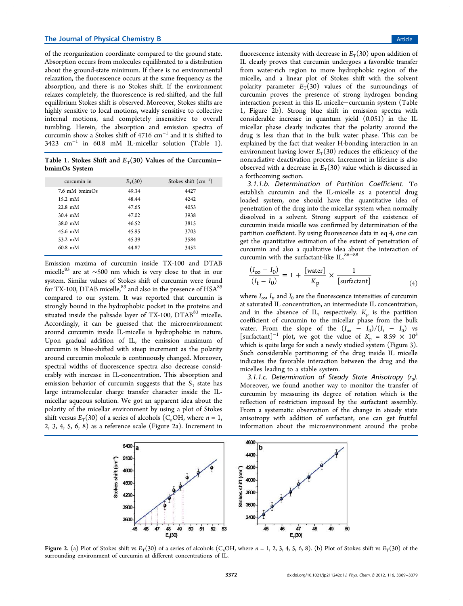of the reorganization coordinate compared to the ground state. Absorption occurs from molecules equilibrated to a distribution about the ground-state minimum. If there is no environmental relaxation, the fluorescence occurs at the same frequency as the absorption, and there is no Stokes shift. If the environment relaxes completely, the fluorescence is red-shifted, and the full equilibrium Stokes shift is observed. Moreover, Stokes shifts are highly sensitive to local motions, weakly sensitive to collective internal motions, and completely insensitive to overall tumbling. Herein, the absorption and emission spectra of curcumin show a Stokes shift of 4716 cm<sup>−</sup><sup>1</sup> and it is shifted to 3423 cm<sup>−</sup><sup>1</sup> in 60.8 mM IL-micellar solution (Table 1).

Table 1. Stokes Shift and  $E_T(30)$  Values of the Curcumin– bmimOs System

| curcumin in                | $E_T(30)$ | Stokes shift $(cm-1)$ |
|----------------------------|-----------|-----------------------|
| 7.6 mM bmimOs              | 49.34     | 4427                  |
| $15.2 \text{ }\mathrm{mM}$ | 48.44     | 4242                  |
| $22.8 \text{ mM}$          | 47.65     | 4053                  |
| $30.4$ mM                  | 47.02     | 3938                  |
| 38.0 mM                    | 46.52     | 3815                  |
| $45.6 \text{ }\mathrm{mM}$ | 45.95     | 3703                  |
| $53.2 \text{ mM}$          | 45.39     | 3584                  |
| $60.8 \, \text{mM}$        | 44.87     | 3452                  |
|                            |           |                       |

Emission maxima of curcumin inside TX-100 and DTAB micelle<sup>83</sup> are at ~500 nm which is very close to that in our system. Similar values of Stokes shift of curcumin were found for TX-100, DTAB micelle, $^{83}$  and also in the presence of  $HSA^{85}$ compared to our system. It was reported that curcumin is strongly bound in the hydrophobic pocket in the proteins and situated inside the palisade layer of TX-100,  $DT\overline{AB}^{83}$  micelle. Accordingly, it can be guessed that the microenvironment around curcumin inside IL-micelle is hydrophobic in nature. Upon gradual addition of IL, the emission maximum of curcumin is blue-shifted with steep increment as the polarity around curcumin molecule is continuously changed. Moreover, spectral widths of fluorescence spectra also decrease considerably with increase in IL-concentration. This absorption and emission behavior of curcumin suggests that the  $S_1$  state has large intramolecular charge transfer character inside the ILmicellar aqueous solution. We got an apparent idea about the polarity of the micellar environment by using a plot of Stokes shift versus  $E_T(30)$  of a series of alcohols (C<sub>n</sub>OH, where  $n = 1$ , 2, 3, 4, 5, 6, 8) as a reference scale (Figure 2a). Increment in

fluorescence intensity with decrease in  $E_T(30)$  upon addition of IL clearly proves that curcumin undergoes a favorable transfer from water-rich region to more hydrophobic region of the micelle, and a linear plot of Stokes shift with the solvent polarity parameter  $E_T(30)$  values of the surroundings of curcumin proves the presence of strong hydrogen bonding interaction present in this IL micelle−curcumin system (Table 1, Figure 2b). Strong blue shift in emission spectra with considerable increase in quantum yield (0.051) in the IL micellar phase clearly indicates that the polarity around the drug is less than that in the bulk water phase. This can be explained by the fact that weaker H-bonding interaction in an environment having lower  $E_T(30)$  reduces the efficiency of the nonradiative deactivation process. Increment in lifetime is also observed with a decrease in  $E_T(30)$  value which is discussed in a forthcoming section.

3.1.1.b. Determination of Partition Coefficient. To establish curcumin and the IL-micelle as a potential drug loaded system, one should have the quantitative idea of penetration of the drug into the micellar system when normally dissolved in a solvent. Strong support of the existence of curcumin inside micelle was confirmed by determination of the partition coefficient. By using fluorescence data in eq 4, one can get the quantitative estimation of the extent of penetration of curcumin and also a qualitative idea about the interaction of curcumin with the surfactant-like IL.<sup>86−88</sup>

$$
\frac{(I_{\infty} - I_0)}{(I_t - I_0)} = 1 + \frac{[water]}{K_p} \times \frac{1}{[surface]} \tag{4}
$$

where  $I_{\infty}$ ,  $I_{\nu}$  and  $I_0$  are the fluorescence intensities of curcumin at saturated IL concentration, an intermediate IL concentration, and in the absence of IL, respectively.  $K_p$  is the partition coefficient of curcumin to the micellar phase from the bulk water. From the slope of the  $(I_{\infty} - I_0)/(I_t - I_0)$  vs [surfactant]<sup>-1</sup> plot, we got the value of  $K_p = 8.59 \times 10^3$ which is quite large for such a newly studied system (Figure 3). Such considerable partitioning of the drug inside IL micelle indicates the favorable interaction between the drug and the micelles leading to a stable system.

3.1.1.c. Determination of Steady State Anisotropy (r $_0$ ). Moreover, we found another way to monitor the transfer of curcumin by measuring its degree of rotation which is the reflection of restriction imposed by the surfactant assembly. From a systematic observation of the change in steady state anisotropy with addition of surfactant, one can get fruitful information about the microenvironment around the probe



Figure 2. (a) Plot of Stokes shift vs  $E_T(30)$  of a series of alcohols (C<sub>n</sub>OH, where  $n = 1, 2, 3, 4, 5, 6, 8$ ). (b) Plot of Stokes shift vs  $E_T(30)$  of the surrounding environment of curcumin at different concentrations of IL.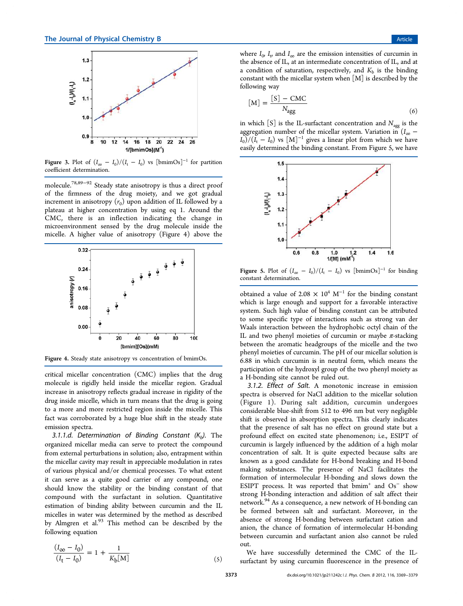

Figure 3. Plot of  $(I_{\infty} - I_0)/(I_t - I_0)$  vs [bmimOs]<sup>-1</sup> for partition coefficient determination.

molecule.78,89−<sup>92</sup> Steady state anisotropy is thus a direct proof of the firmness of the drug moiety, and we got gradual increment in anisotropy  $(r_0)$  upon addition of IL followed by a plateau at higher concentration by using eq 1. Around the CMC, there is an inflection indicating the change in microenvironment sensed by the drug molecule inside the micelle. A higher value of anisotropy (Figure 4) above the



Figure 4. Steady state anisotropy vs concentration of bmimOs.

critical micellar concentration (CMC) implies that the drug molecule is rigidly held inside the micellar region. Gradual increase in anisotropy reflects gradual increase in rigidity of the drug inside micelle, which in turn means that the drug is going to a more and more restricted region inside the micelle. This fact was corroborated by a huge blue shift in the steady state emission spectra.

3.1.1.d. Determination of Binding Constant  $(K_b)$ . The organized micellar media can serve to protect the compound from external perturbations in solution; also, entrapment within the micellar cavity may result in appreciable modulation in rates of various physical and/or chemical processes. To what extent it can serve as a quite good carrier of any compound, one should know the stability or the binding constant of that compound with the surfactant in solution. Quantitative estimation of binding ability between curcumin and the IL micelles in water was determined by the method as described by Almgren et al. $93$  This method can be described by the following equation

$$
\frac{(I_{\infty} - I_0)}{(I_t - I_0)} = 1 + \frac{1}{K_b[M]}
$$
\n(5)

where  $I_0$ ,  $I_t$  and  $I_\infty$  are the emission intensities of curcumin in the absence of IL, at an intermediate concentration of IL, and at a condition of saturation, respectively, and  $K<sub>b</sub>$  is the binding constant with the micellar system when  $[M]$  is described by the following way

$$
[M] = \frac{[S] - CMC}{N_{agg}}
$$
\n(6)

in which  $[S]$  is the IL-surfactant concentration and  $N_{\text{age}}$  is the aggregation number of the micellar system. Variation in  $(I_{\infty}$  –  $I_0$ )/( $I_t - I_0$ ) vs  $[M]^{-1}$  gives a linear plot from which we have easily determined the binding constant. From Figure 5, we have



Figure 5. Plot of  $(I_{\infty} - I_0)/(I_t - I_0)$  vs [bmimOs]<sup>-1</sup> for binding constant determination.

obtained a value of 2.08  $\times$  10<sup>4</sup> M<sup>-1</sup> for the binding constant which is large enough and support for a favorable interactive system. Such high value of binding constant can be attributed to some specific type of interactions such as strong van der Waals interaction between the hydrophobic octyl chain of the IL and two phenyl moieties of curcumin or maybe  $\pi$ -stacking between the aromatic headgroups of the micelle and the two phenyl moieties of curcumin. The pH of our micellar solution is 6.88 in which curcumin is in neutral form, which means the participation of the hydroxyl group of the two phenyl moiety as a H-bonding site cannot be ruled out.

3.1.2. Effect of Salt. A monotonic increase in emission spectra is observed for NaCl addition to the micellar solution (Figure 1). During salt addition, curcumin undergoes considerable blue-shift from 512 to 496 nm but very negligible shift is observed in absorption spectra. This clearly indicates that the presence of salt has no effect on ground state but a profound effect on excited state phenomenon; i.e., ESIPT of curcumin is largely influenced by the addition of a high molar concentration of salt. It is quite expected because salts are known as a good candidate for H-bond breaking and H-bond making substances. The presence of NaCl facilitates the formation of intermolecular H-bonding and slows down the ESIPT process. It was reported that  $\overline{b}$  mim<sup>+</sup> and Os<sup>-</sup> show strong H-bonding interaction and addition of salt affect their network.<sup>94</sup> As a consequence, a new network of H-bonding can be formed between salt and surfactant. Moreover, in the absence of strong H-bonding between surfactant cation and anion, the chance of formation of intermolecular H-bonding between curcumin and surfactant anion also cannot be ruled out.

We have successfully determined the CMC of the ILsurfactant by using curcumin fluorescence in the presence of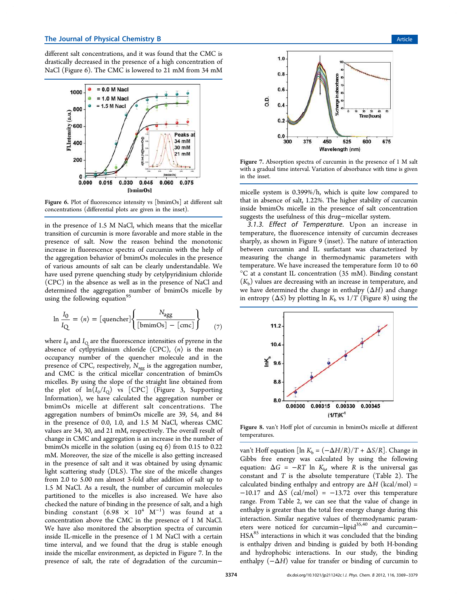different salt concentrations, and it was found that the CMC is drastically decreased in the presence of a high concentration of NaCl (Figure 6). The CMC is lowered to 21 mM from 34 mM



Figure 6. Plot of fluorescence intensity vs [bmimOs] at different salt concentrations (differential plots are given in the inset).

in the presence of 1.5 M NaCl, which means that the micellar transition of curcumin is more favorable and more stable in the presence of salt. Now the reason behind the monotonic increase in fluorescence spectra of curcumin with the help of the aggregation behavior of bmimOs molecules in the presence of various amounts of salt can be clearly understandable. We have used pyrene quenching study by cetylpyridinium chloride (CPC) in the absence as well as in the presence of NaCl and determined the aggregation number of bmimOs micelle by using the following equation<sup>9</sup>

$$
\ln \frac{I_0}{I_Q} = \langle n \rangle = \left[ \text{quencher} \right] \left\{ \frac{N_{agg}}{\left[ \text{bminOs} \right] - \left[ \text{cmc} \right]} \right\} \tag{7}
$$

where  $I_0$  and  $I_{\mathrm{Q}}$  are the fluorescence intensities of pyrene in the absence of cytlpyridinium chloride (CPC),  $\langle n \rangle$  is the mean occupancy number of the quencher molecule and in the presence of CPC, respectively,  $N_{\text{agg}}$  is the aggregation number, and CMC is the critical micellar concentration of bmimOs micelles. By using the slope of the straight line obtained from the plot of  $ln(I_0/I_0)$  vs [CPC] (Figure 3, Supporting Information), we have calculated the aggregation number or bmimOs micelle at different salt concentrations. The aggregation numbers of bmimOs micelle are 39, 54, and 84 in the presence of 0.0, 1.0, and 1.5 M NaCl, whereas CMC values are 34, 30, and 21 mM, respectively. The overall result of change in CMC and aggregation is an increase in the number of bmimOs micelle in the solution (using eq 6) from 0.15 to 0.22 mM. Moreover, the size of the micelle is also getting increased in the presence of salt and it was obtained by using dynamic light scattering study (DLS). The size of the micelle changes from 2.0 to 5.00 nm almost 3-fold after addition of salt up to 1.5 M NaCl. As a result, the number of curcumin molecules partitioned to the micelles is also increased. We have also checked the nature of binding in the presence of salt, and a high binding constant  $(6.98 \times 10^{4} \text{ M}^{-1})$  was found at a concentration above the CMC in the presence of 1 M NaCl. We have also monitored the absorption spectra of curcumin inside IL-micelle in the presence of 1 M NaCl with a certain time interval, and we found that the drug is stable enough inside the micellar environment, as depicted in Figure 7. In the presence of salt, the rate of degradation of the curcumin−



Figure 7. Absorption spectra of curcumin in the presence of 1 M salt with a gradual time interval. Variation of absorbance with time is given in the inset.

micelle system is 0.399%/h, which is quite low compared to that in absence of salt, 1.22%. The higher stability of curcumin inside bmimOs micelle in the presence of salt concentration suggests the usefulness of this drug−micellar system.

3.1.3. Effect of Temperature. Upon an increase in temperature, the fluorescence intensity of curcumin decreases sharply, as shown in Figure 9 (inset). The nature of interaction between curcumin and IL surfactant was characterized by measuring the change in thermodynamic parameters with temperature. We have increased the temperature form 10 to 60  $\rm{^{\circ}C}$  at a constant IL concentration (35 mM). Binding constant  $(K<sub>b</sub>)$  values are decreasing with an increase in temperature, and we have determined the change in enthalpy (Δ*H*) and change in entropy  $(\Delta S)$  by plotting ln  $K_b$  vs  $1/T$  (Figure 8) using the



Figure 8. van't Hoff plot of curcumin in bmimOs micelle at different temperatures.

van't Hoff equation [ln  $K_b = \left(-\Delta H/R\right)/T + \Delta S/R$ ]. Change in Gibbs free energy was calculated by using the following equation:  $\Delta G = -RT \ln K_b$ , where *R* is the universal gas constant and *T* is the absolute temperature (Table 2). The calculated binding enthalpy and entropy are  $\Delta H$  (kcal/mol) =  $-10.17$  and  $\Delta S$  (cal/mol) =  $-13.72$  over this temperature range. From Table 2, we can see that the value of change in enthalpy is greater than the total free energy change during this interaction. Similar negative values of thermodynamic parameters were noticed for curcumin-lipid<sup>35,40</sup> and curcumin-HSA<sup>85</sup> interactions in which it was concluded that the binding is enthalpy driven and binding is guided by both H-bonding and hydrophobic interactions. In our study, the binding enthalpy  $(-\Delta H)$  value for transfer or binding of curcumin to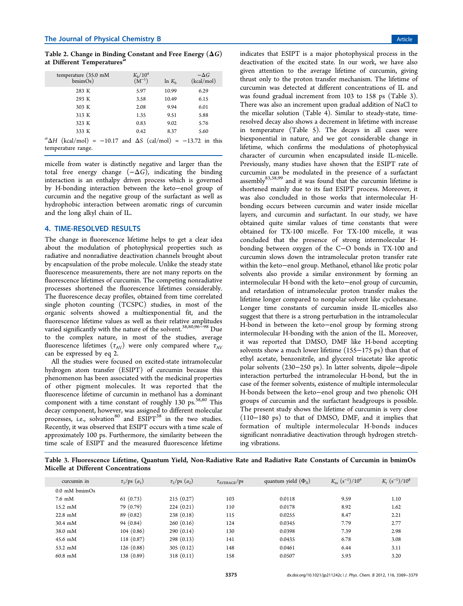Table 2. Change in Binding Constant and Free Energy  $(\Delta G)$ at Different Temperatures'

| temperature $(35.0 \text{ mM})$<br>bminOs)                                   | $K_{\rm b}/10^4$<br>$(M^{-1})$ | $\ln K_h$ | $-\Delta G$<br>(kcal/mol) |  |  |  |
|------------------------------------------------------------------------------|--------------------------------|-----------|---------------------------|--|--|--|
| 283 K                                                                        | 5.97                           | 10.99     | 6.29                      |  |  |  |
| 293 K                                                                        | 3.58                           | 10.49     | 6.15                      |  |  |  |
| 303 K                                                                        | 2.08                           | 9.94      | 6.01                      |  |  |  |
| 313 K                                                                        | 1.35                           | 9.51      | 5.88                      |  |  |  |
| 323 K                                                                        | 0.83                           | 9.02      | 5.76                      |  |  |  |
| 333 K                                                                        | 0.42                           | 8.37      | 5.60                      |  |  |  |
| ${}^a\Delta H$ (kcal/mol) = -10.17 and $\Delta S$ (cal/mol) = -13.72 in this |                                |           |                           |  |  |  |
| temperature range.                                                           |                                |           |                           |  |  |  |

micelle from water is distinctly negative and larger than the total free energy change  $(-\Delta G)$ , indicating the binding interaction is an enthalpy driven process which is governed by H-bonding interaction between the keto−enol group of curcumin and the negative group of the surfactant as well as hydrophobic interaction between aromatic rings of curcumin and the long alkyl chain of IL.

#### 4. TIME-RESOLVED RESULTS

The change in fluorescence lifetime helps to get a clear idea about the modulation of photophysical properties such as radiative and nonradiative deactivation channels brought about by encapsulation of the probe molecule. Unlike the steady state fluorescence measurements, there are not many reports on the fluorescence lifetimes of curcumin. The competing nonradiative processes shortened the fluorescence lifetimes considerably. The fluorescence decay profiles, obtained from time correlated single photon counting (TCSPC) studies, in most of the organic solvents showed a multiexponential fit, and the fluorescence lifetime values as well as their relative amplitudes varied significantly with the nature of the solvent.<sup>38,80,96</sub><sup>±98</sup> Due</sup> to the complex nature, in most of the studies, average fluorescence lifetimes  $(\tau_{AV})$  were only compared where  $\tau_{AV}$ can be expressed by eq 2.

All the studies were focused on excited-state intramolecular hydrogen atom transfer (ESIPT) of curcumin because this phenomenon has been associated with the medicinal properties of other pigment molecules. It was reported that the fluorescence lifetime of curcumin in methanol has a dominant component with a time constant of roughly 130 ps. $38,80$  This decay component, however, was assigned to different molecular processes, i.e., solvation<sup>80</sup> and  $ESIPT<sup>38</sup>$  in the two studies. Recently, it was observed that ESIPT occurs with a time scale of approximately 100 ps. Furthermore, the similarity between the time scale of ESIPT and the measured fluorescence lifetime

indicates that ESIPT is a major photophysical process in the deactivation of the excited state. In our work, we have also given attention to the average lifetime of curcumin, giving thrust only to the proton transfer mechanism. The lifetime of curcumin was detected at different concentrations of IL and was found gradual increment from 103 to 158 ps (Table 3). There was also an increment upon gradual addition of NaCl to the micellar solution (Table 4). Similar to steady-state, timeresolved decay also shows a decrement in lifetime with increase in temperature (Table 5). The decays in all cases were biexponential in nature, and we got considerable change in lifetime, which confirms the modulations of photophysical character of curcumin when encapsulated inside IL-micelle. Previously, many studies have shown that the ESIPT rate of curcumin can be modulated in the presence of a surfactant assembly<sup>83,38,99</sup> and it was found that the curcumin lifetime is shortened mainly due to its fast ESIPT process. Moreover, it was also concluded in those works that intermolecular Hbonding occurs between curcumin and water inside micellar layers, and curcumin and surfactant. In our study, we have obtained quite similar values of time constants that were obtained for TX-100 micelle. For TX-100 micelle, it was concluded that the presence of strong intermolecular Hbonding between oxygen of the C−O bonds in TX-100 and curcumin slows down the intramolecular proton transfer rate within the keto−enol group. Methanol, ethanol like protic polar solvents also provide a similar environment by forming an intermolecular H-bond with the keto−enol group of curcumin, and retardation of intramolecular proton transfer makes the lifetime longer compared to nonpolar solvent like cyclohexane. Longer time constants of curcumin inside IL-micelles also suggest that there is a strong perturbation in the intramolecular H-bond in between the keto−enol group by forming strong intermolecular H-bonding with the anion of the IL. Moreover, it was reported that DMSO, DMF like H-bond accepting solvents show a much lower lifetime (155−175 ps) than that of ethyl acetate, benzonitrile, and glycerol triacetate like aprotic polar solvents (230−250 ps). In latter solvents, dipole−dipole interaction perturbed the intramolecular H-bond, but the in case of the former solvents, existence of multiple intermolecular H-bonds between the keto−enol group and two phenolic OH groups of curcumin and the surfactant headgroups is possible. The present study shows the lifetime of curcumin is very close (110−180 ps) to that of DMSO, DMF, and it implies that formation of multiple intermolecular H-bonds induces significant nonradiative deactivation through hydrogen stretching vibrations.

Table 3. Fluorescence Lifetime, Quantum Yield, Non-Radiative Rate and Radiative Rate Constants of Curcumin in bmimOs Micelle at Different Concentrations

| curcumin in                     | $\tau_1$ /ps $(a_1)$ | $\tau_2$ /ps $(a_2)$ | $\tau_{\rm AVERAGE}$ /ps | quantum yield $(\Phi_{x})$ | $K_{\rm nr}$ $(s^{-1})/10^9$ | $K_{\rm r}$ $(s^{-1})/10^8$ |
|---------------------------------|----------------------|----------------------|--------------------------|----------------------------|------------------------------|-----------------------------|
| $0.0 \text{ mM}\ \text{bminOs}$ |                      |                      |                          |                            |                              |                             |
| $7.6 \text{ }\mathrm{mM}$       | 61(0.73)             | 215(0.27)            | 103                      | 0.0118                     | 9.59                         | 1.10                        |
| 15.2 mM                         | 79 (0.79)            | 224(0.21)            | 110                      | 0.0178                     | 8.92                         | 1.62                        |
| $22.8$ mM                       | 89(0.82)             | 238(0.18)            | 115                      | 0.0255                     | 8.47                         | 2.21                        |
| $30.4 \text{ mM}$               | 94(0.84)             | 260(0.16)            | 124                      | 0.0345                     | 7.79                         | 2.77                        |
| $38.0$ mM                       | 104(0.86)            | 290(0.14)            | 130                      | 0.0398                     | 7.39                         | 2.98                        |
| 45.6 mM                         | 118 (0.87)           | 298(0.13)            | 141                      | 0.0435                     | 6.78                         | 3.08                        |
| 53.2 mM                         | 126(0.88)            | 305(0.12)            | 148                      | 0.0461                     | 6.44                         | 3.11                        |
| $60.8$ mM                       | 138 (0.89)           | 318(0.11)            | 158                      | 0.0507                     | 5.93                         | 3.20                        |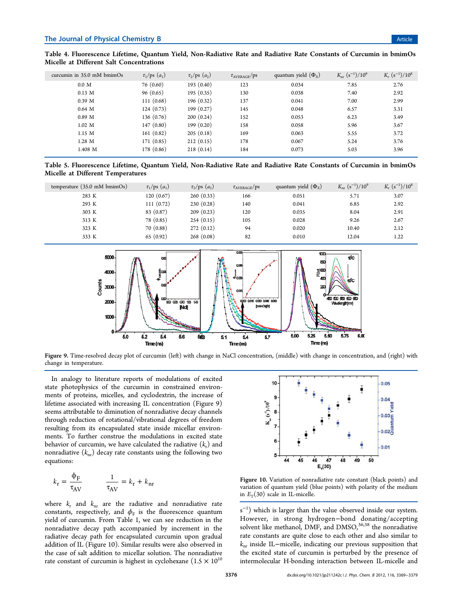| curcumin in $35.0$ mM bmimOs | $\tau_1$ /ps $(a_1)$ | $\tau_2$ /ps $(a_2)$ | $\tau_{\rm AVERAGE}$ /ps | quantum yield $(\Phi_{x})$ | $K_{\rm nr}$ $(s^{-1})/10^9$ | $K_{\rm r}$ $(s^{-1})/10^8$ |
|------------------------------|----------------------|----------------------|--------------------------|----------------------------|------------------------------|-----------------------------|
| 0.0 M                        | 76(0.60)             | 193(0.40)            | 123                      | 0.034                      | 7.85                         | 2.76                        |
| $0.13 \text{ M}$             | 96(0.65)             | 195(0.35)            | 130                      | 0.038                      | 7.40                         | 2.92                        |
| 0.39 <sub>M</sub>            | 111(0.68)            | 196(0.32)            | 137                      | 0.041                      | 7.00                         | 2.99                        |
| $0.64$ M                     | 124(0.73)            | 199(0.27)            | 145                      | 0.048                      | 6.57                         | 3.31                        |
| 0.89 <sub>M</sub>            | 136(0.76)            | 200(0.24)            | 152                      | 0.053                      | 6.23                         | 3.49                        |
| $1.02 \text{ M}$             | 147(0.80)            | 199(0.20)            | 158                      | 0.058                      | 5.96                         | 3.67                        |
| 1.15 M                       | 161(0.82)            | 205(0.18)            | 169                      | 0.063                      | 5.55                         | 3.72                        |
| $1.28$ M                     | 171(0.85)            | 212(0.15)            | 178                      | 0.067                      | 5.24                         | 3.76                        |
| 1.408 M                      | 178 (0.86)           | 218(0.14)            | 184                      | 0.073                      | 5.03                         | 3.96                        |
|                              |                      |                      |                          |                            |                              |                             |

Table 4. Fluorescence Lifetime, Quantum Yield, Non-Radiative Rate and Radiative Rate Constants of Curcumin in bmimOs Micelle at Different Salt Concentrations

Table 5. Fluorescence Lifetime, Quantum Yield, Non-Radiative Rate and Radiative Rate Constants of Curcumin in bmimOs Micelle at Different Temperatures

| temperature $(35.0 \text{ mM bminOs})$ | $\tau_1$ /ps $(a_1)$ | $\tau_2$ /ps $(a_2)$ | $\tau_{\text{AVERAGE}}/ps$ | quantum yield $(\Phi_{x})$ | $K_{\rm nr}$ $(s^{-1})/10^9$ | $K_r (s^{-1})/10^8$ |
|----------------------------------------|----------------------|----------------------|----------------------------|----------------------------|------------------------------|---------------------|
| 283 K                                  | 120(0.67)            | 260(0.33)            | 166                        | 0.051                      | 5.71                         | 3.07                |
| 293 K                                  | 111(0.72)            | 230(0.28)            | 140                        | 0.041                      | 6.85                         | 2.92                |
| 303 K                                  | 83 (0.87)            | 209(0.23)            | 120                        | 0.035                      | 8.04                         | 2.91                |
| 313 K                                  | 78 (0.85)            | 254(0.15)            | 105                        | 0.028                      | 9.26                         | 2.67                |
| 323 K                                  | 70(0.88)             | 272(0.12)            | 94                         | 0.020                      | 10.40                        | 2.12                |
| 333 K                                  | 65(0.92)             | 268(0.08)            | 82                         | 0.010                      | 12.04                        | 1.22                |



Figure 9. Time-resolved decay plot of curcumin (left) with change in NaCl concentration, (middle) with change in concentration, and (right) with change in temperature.

In analogy to literature reports of modulations of excited state photophysics of the curcumin in constrained environments of proteins, micelles, and cyclodextrin, the increase of lifetime associated with increasing IL concentration (Figure 9) seems attributable to diminution of nonradiative decay channels through reduction of rotational/vibrational degrees of freedom resulting from its encapsulated state inside micellar environments. To further construe the modulations in excited state behavior of curcumin, we have calculated the radiative  $(k_{\rm r})$  and nonradiative (*k*nr) decay rate constants using the following two equations:

$$
k_{\rm r} = \frac{\Phi_{\rm F}}{\tau_{\rm AV}} \qquad \frac{1}{\tau_{\rm AV}} = k_{\rm r} + k_{\rm nr}
$$

where  $k_{\rm r}$  and  $k_{\rm nr}$  are the radiative and nonradiative rate constants, respectively, and  $\phi_{\mathrm{F}}$  is the fluorescence quantum yield of curcumin. From Table 1, we can see reduction in the nonradiative decay path accompanied by increment in the radiative decay path for encapsulated curcumin upon gradual addition of IL (Figure 10). Similar results were also observed in the case of salt addition to micellar solution. The nonradiative rate constant of curcumin is highest in cyclohexane  $(1.5 \times 10^{10}$ 



Figure 10. Variation of nonradiative rate constant (black points) and variation of quantum yield (blue points) with polarity of the medium in  $E_T(30)$  scale in IL-micelle.

 $s^{-1}$ ) which is larger than the value observed inside our system. However, in strong hydrogen−bond donating/accepting solvent like methanol, DMF, and DMSO,<sup>36,38</sup> the nonradiative rate constants are quite close to each other and also similar to *k*nr inside IL−micelle, indicating our previous supposition that the excited state of curcumin is perturbed by the presence of intermolecular H-bonding interaction between IL-micelle and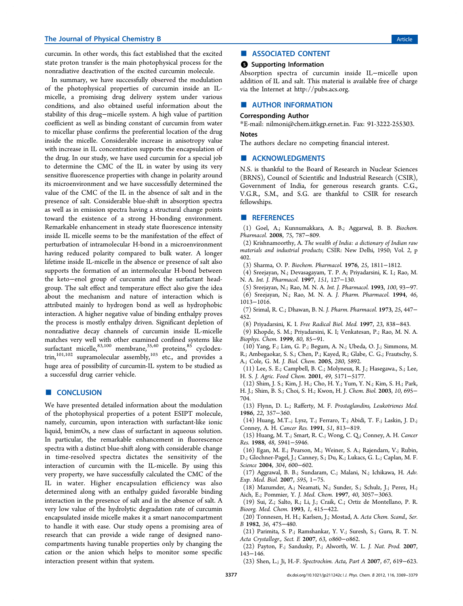#### The Journal of Physical Chemistry B Article 6 and the Second Second Second Second Second Second Second Second Second Second Second Second Second Second Second Second Second Second Second Second Second Second Second Second

curcumin. In other words, this fact established that the excited state proton transfer is the main photophysical process for the nonradiative deactivation of the excited curcumin molecule.

In summary, we have successfully observed the modulation of the photophysical properties of curcumin inside an ILmicelle, a promising drug delivery system under various conditions, and also obtained useful information about the stability of this drug−micelle system. A high value of partition coefficient as well as binding constant of curcumin from water to micellar phase confirms the preferential location of the drug inside the micelle. Considerable increase in anisotropy value with increase in IL concentration supports the encapsulation of the drug. In our study, we have used curcumin for a special job to determine the CMC of the IL in water by using its very sensitive fluorescence properties with change in polarity around its microenvironment and we have successfully determined the value of the CMC of the IL in the absence of salt and in the presence of salt. Considerable blue-shift in absorption spectra as well as in emission spectra having a structural change points toward the existence of a strong H-bonding environment. Remarkable enhancement in steady state fluorescence intensity inside IL micelle seems to be the manifestation of the effect of perturbation of intramolecular H-bond in a microenvironment having reduced polarity compared to bulk water. A longer lifetime inside IL-micelle in the absence or presence of salt also supports the formation of an intermolecular H-bond between the keto−enol group of curcumin and the surfactant headgroup. The salt effect and temperature effect also give the idea about the mechanism and nature of interaction which is attributed mainly to hydrogen bond as well as hydrophobic interaction. A higher negative value of binding enthalpy proves the process is mostly enthalpy driven. Significant depletion of nonradiative decay channels of curcumin inside IL-micelle matches very well with other examined confined systems like surfactant micelle, $^{83,100}$  membrane, $^{35,40}$  proteins, $^{85}$  cyclodex- $\text{trin,}^{101,102}$  supramolecular assembly, $^{103}$  etc., and provides a huge area of possibility of curcumin-IL system to be studied as a successful drug carrier vehicle.

#### ■ CONCLUSION

We have presented detailed information about the modulation of the photophysical properties of a potent ESIPT molecule, namely, curcumin, upon interaction with surfactant-like ionic liquid, bmimOs, a new class of surfactant in aqueous solution. In particular, the remarkable enhancement in fluorescence spectra with a distinct blue-shift along with considerable change in time-resolved spectra dictates the sensitivity of the interaction of curcumin with the IL-micelle. By using this very property, we have successfully calculated the CMC of the IL in water. Higher encapsulation efficiency was also determined along with an enthalpy guided favorable binding interaction in the presence of salt and in the absence of salt. A very low value of the hydrolytic degradation rate of curcumin encapsulated inside micelle makes it a smart nanocompartment to handle it with ease. Our study opens a promising area of research that can provide a wide range of designed nanocompartments having tunable properties only by changing the cation or the anion which helps to monitor some specific interaction present within that system.

### ■ ASSOCIATED CONTENT

#### **6** Supporting Information

Absorption spectra of curcumin inside IL−micelle upon addition of IL and salt. This material is available free of charge via the Internet at http://pubs.acs.org.

#### ■ AUTHOR INFORMATION

#### Corresponding Author

\*E-mail: nilmoni@chem.iitkgp.ernet.in. Fax: 91-3222-255303. Notes

The authors declare no competing financial interest.

#### ■ ACKNOWLEDGMENTS

N.S. is thankful to the Board of Research in Nuclear Sciences (BRNS), Council of Scientific and Industrial Research (CSIR), Government of India, for generous research grants. C.G., V.G.R., S.M., and S.G. are thankful to CSIR for research fellowships.

#### ■ REFERENCES

(1) Goel, A.; Kunnumakkara, A. B.; Aggarwal, B. B. *Biochem. Pharmacol.* 2008, *75*, 787−809.

(2) Krishnamoorthy, A. *The wealth of India: a dictionary of Indian raw materials and industrial products*; CSIR: New Delhi, 1950; Vol. *2*, p 402.

- (3) Sharma, O. P. *Biochem. Pharmacol.* 1976, *25*, 1811−1812.
- (4) Sreejayan, N.; Devasagayam, T. P. A; Priyadarsini, K. I.; Rao, M. N. A. *Int. J. Pharmacol.* 1997, *151*, 127−130.
- (5) Sreejayan, N.; Rao, M. N. A. *Int. J. Pharmacol.* 1993, *100*, 93−97.

(6) Sreejayan, N.; Rao, M. N. A. *J. Pharm. Pharmacol.* 1994, *46*, 1013−1016.

- (7) Srimal, R. C.; Dhawan, B. N. *J. Pharm. Pharmacol.* 1973, *25*, 447− 452.
- (8) Priyadarsini, K. I. *Free Radical Biol. Med.* 1997, *23*, 838−843.

(9) Khopde, S. M.; Priyadarsini, K. I; Venkatesan, P.; Rao, M. N. A. *Biophys. Chem.* 1999, *80*, 85−91.

(10) Yang, F.; Lim, G. P.; Begum, A. N.; Ubeda, O. J.; Simmons, M. R.; Ambegaokar, S. S.; Chen, P.; Kayed, R.; Glabe, C. G.; Frautschy, S. A.; Cole, G. M. *J. Biol. Chem.* 2005, *280*, 5892.

(11) Lee, S. E.; Campbell, B. C.; Molyneux, R. J.; Hasegawa., S.; Lee, H. S. *J. Agric. Food Chem.* 2001, *49*, 5171−5177.

(12) Shim, J. S.; Kim, J. H.; Cho, H. Y.; Yum, Y. N.; Kim, S. H.; Park, H. J.; Shim, B. S.; Choi, S. H.; Kwon, H. J. *Chem. Biol.* 2003, *10*, 695− 704.

(13) Flynn, D. L.; Rafferty, M. F. *Prostaglandins, Leukotrienes Med.* 1986, *22*, 357−360.

(14) Huang, M.T..; Lysz, T.; Ferraro, T.; Abidi, T. F.; Laskin, J. D.; Conney, A. H. *Cancer Res.* 1991, *51*, 813−819.

(15) Huang, M. T.; Smart, R. C.; Wong, C. Q.; Conney, A. H. *Cancer Res.* 1988, *48*, 5941−5946.

(16) Egan, M. E.; Pearson, M.; Weiner, S. A.; Rajendarn, V.; Rubin, D.; Glochner-Pagel, J.; Canney, S.; Du, K.; Lukacs, G. L.; Caplan, M. F. *Science* 2004, *304*, 600−602.

(17) Aggrawal, B. B.; Sundaram, C.; Malani, N.; Ichikawa, H. *Adv. Exp. Med. Biol.* 2007, *595*, 1−75.

(18) Mazumder, A.; Neamati, N.; Sunder, S.; Schulz, J.; Perez, H.; Aich, E.; Pommier, Y. *J. Med. Chem.* 1997, *40*, 3057−3063.

(19) Sui, Z.; Salto, R.; Li, J.; Craik, C.; Ortiz de Montellano, P. R. *Bioorg. Med. Chem.* 1993, *1*, 415−422.

(20) Tonnesen, H. H.; Karlsen, J.; Mostad, A. *Acta Chem. Scand., Ser. B* 1982, *36*, 475−480.

(21) Parimita, S. P.; Ramshankar, Y. V.; Suresh, S.; Guru, R. T. N. *Acta Crystallogr., Sect. E* 2007, *63*, o860−o862.

(22) Payton, F.; Sandusky, P.; Alworth, W. L. *J. Nat. Prod.* 2007, 143−146.

(23) Shen, L.; Ji, H.-F. *Spectrochim. Acta, Part A* 2007, *67*, 619−623.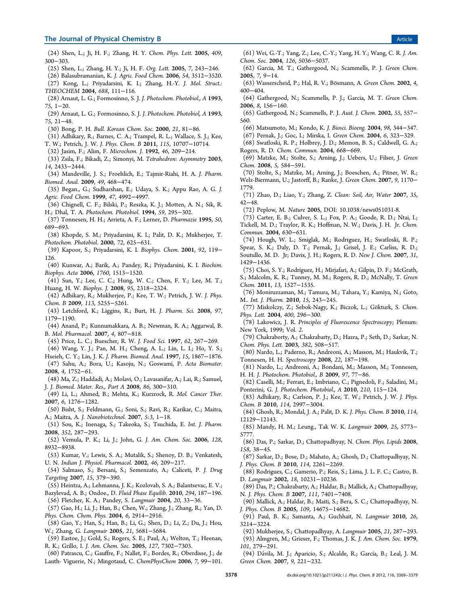#### The Journal of Physical Chemistry B Article

(24) Shen, L.; Ji, H. F.; Zhang, H. Y. *Chem. Phys. Lett.* 2005, *409*, 300−303.

- (25) Shen, L.; Zhang, H. Y.; Ji, H. F. *Org. Lett.* 2005, *7*, 243−246.
- (26) Balasubramanian, K. *J. Agric. Food Chem.* 2006, *54*, 3512−3520.
- (27) Kong, L.; Priyadarsini, K. I.; Zhang, H.-Y. *J. Mol. Struct.: THEOCHEM* 2004, *688*, 111−116.
- (28) Arnaut, L. G.; Formosinno, S. J. *J. Photochem. Photobiol., A* 1993, *75*, 1−20.
- (29) Arnaut, L. G.; Formosinno, S. J. *J. Photochem. Photobiol, A* 1993, *75*, 21−48.
- (30) Bong, P. H. *Bull. Korean Chem. Soc.* 2000, *21*, 81−86.
- (31) Adhikary, R.; Barnes, C. A.; Trampel, R. L.; Wallace, S. J.; Kee, T. W.; Petrich, J. W. *J. Phys. Chem. B* 2011, *115*, 10707−10714.
- (32) Jasim, F.; Alim, F. *Microchem. J.* 1992, *46*, 209−214.
- (33) Zsila, F.; Bikadi, Z.; Simonyi, M. *Tetrahedron: Asymmetry* 2003, *14*, 2433−2444.
- (34) Mandeville, J. S.; Froehlich, E.; Tajmir-Riahi, H. A. *J. Pharm. Biomed. Anal.* 2009, *49*, 468−474.
- (35) Began., G.; Sudharshan, E.; Udaya, S. K.; Appu Rao, A. G. *J. Agric. Food Chem.* 1999, *47*, 4992−4997.
- (36) Chignell, C. F.; Bilski, P.; Reszka, K. J.; Motten, A. N.; Sik, R. H.; Dhal, T. A. *Photochem. Photobiol.* 1994, *59*, 295−302.
- (37) Tonnesen, H. H.; Arrieta, A. F.; Lerner, D. *Pharmazie* 1995, *50*, 689−693.
- (38) Khopde, S. M.; Priyadarsini, K. I.; Palit, D. K.; Mukherjee, T. *Photochem. Photobiol.* 2000, *72*, 625−631.
- (39) Kapoor, S.; Priyadarsini, K. I. *Biophys. Chem.* 2001, *92*, 119− 126.
- (40) Kunwar, A.; Barik, A.; Pandey, R.; Priyadarsini, K. I. *Biochim. Biophys. Acta* 2006, *1760*, 1513−1520.
- (41) Sun, Y.; Lee, C. C.; Hung, W. C.; Chen, F. Y.; Lee, M. T.; Huang, H. W. *Biophys. J.* 2008, *95*, 2318−2324.
- (42) Adhikary, R.; Mukherjee, P.; Kee, T. W.; Petrich, J. W. *J. Phys. Chem. B* 2009, *113*, 5255−5261.
- (43) Letchford, K.; Liggins, R.; Burt, H. *J. Pharm. Sci.* 2008, *97*, 1179−1190.
- (44) Anand, P.; Kunnumakkara, A. B.; Newman, R. A.; Aggarwal, B. B. *Mol. Pharmacol.* 2007, *4*, 807−818.
- (45) Price, L. C.; Buescher, R. W. *J. Food Sci.* 1997, *62*, 267−269.
- (46) Wang, Y. J.; Pan, M. H.; Cheng, A. L.; Lin, L. I.; Ho, Y. S.;
- Hseieh, C. Y.; Lin, J. K. *J. Pharm. Biomed. Anal.* 1997, *15*, 1867−1876. (47) Sahu, A.; Bora, U.; Kasoju, N.; Goswami, P. *Acta Biomater.* 2008, *4*, 1752−61.
- (48) Ma, Z.; Haddadi, A.; Molavi, O.; Lavasanifar, A.; Lai, R.; Samuel, J. *J. Biomed. Mater. Res., Part A* 2008, *86*, 300−310.
- (49) Li, L.; Ahmed, B.; Mehta, K.; Kurzrock, R. *Mol. Cancer Ther.* 2007, *6*, 1276−1282.
- (50) Bisht, S.; Feldmann, G.; Soni, S.; Ravi, R.; Karikar, C.; Maitra, A.; Maitra, A. *J. Nanobiotechnol.* 2007, *5:3*, 1−18.
- (51) Sou, K.; Inenaga, S.; Takeoka, S.; Tsuchida, E. *Int. J. Pharm.* 2008, *352*, 287−293.
- (52) Vemula, P. K.; Li, J.; John, G. *J. Am. Chem. Soc.* 2006, *128*, 8932−8938.
- (53) Kumar, V.; Lewis, S. A.; Mutalik, S.; Shenoy, D. B.; Venkatesh,
- U. N. *Indian J. Physiol. Pharmacol.* 2002, *46*, 209−217.
- (54) Salmaso, S.; Bersani, S.; Semenzato, A.; Caliceti, P. *J. Drug Targeting* 2007, *15*, 379−390.
- (55) Heintza, A.; Lehmanna, J. K.; Kozlovab, S. A.; Balantsevac, E. V.;
- Bazylevad, A. B.; Ondoe., D. *Fluid Phase Equilib.* 2010, *294*, 187−196. (56) Fletcher, K. A.; Pandey, S. *Langmuir* 2004, *20*, 33−36.
- (57) Gao, H.; Li, J.; Han, B.; Chen, W.; Zhang, J.; Zhang, R.; Yan, D. *Phys. Chem. Chem. Phys.* 2004, *6*, 2914−2916.
- (58) Gao, Y.; Han, S.; Han, B.; Li, G.; Shen, D.; Li, Z.; Du, J.; Hou, W.; Zhang, G. *Langmuir* 2005, *21*, 5681−5684.
- (59) Eastoe, J.; Gold, S.; Rogers, S. E.; Paul, A.; Welton, T.; Heenan, R. K.; Grillo, I. *J. Am. Chem. Soc.* 2005, *127*, 7302−7303.
- (60) Patrascu, C.; Gauffre, F.; Nallet, F.; Bordes, R.; Oberdisse, J.; de Lauth- Viguerie, N.; Mingotaud, C. *ChemPhysChem* 2006, *7*, 99−101.
- (61) Wei, G.-T.; Yang, Z.; Lee, C.-Y.; Yang, H. Y.; Wang, C. R. *J. Am. Chem. Soc.* 2004, *126*, 5036−5037.
- (62) Garcia, M. T.; Gathergood, N.; Scammells, P. J. *Green Chem.* 2005, *7*, 9−14.
- (63) Wasserscheid, P.; Hal, R. V.; Bösmann, A. *Green Chem.* 2002, *4*, 400−404.
- (64) Gathergood, N.; Scammells, P. J.; Garcia, M. T. *Green Chem.* 2006, *8*, 156−160.
- (65) Gathergood, N.; Scammells, P. J. *Aust. J. Chem.* 2002, *55*, 557− 560.
- (66) Matsumoto, M.; Kondo, K. *J. Biosci. Bioeng.* 2004, *98*, 344−347.
- (67) Pernak, J.; Goc, I.; Mirska, I. *Green Chem.* 2004, *6*, 323−329.
- (68) Swatloski, R. P.; Holbrey, J. D.; Memon, B. S.; Caldwell, G. A.; Rogers, R. D. *Chem. Commun.* 2004, 668−669.
- (69) Matzke, M.; Stolte, S.; Arning, J.; Uebers, U.; Filser, J. *Green Chem.* 2008, *5*, 584−591.
- (70) Stolte, S.; Matzke, M.; Arning, J.; Boeschen, A.; Pitner, W. R.; Welz-Biermann, U.; Jastorff, B.; Ranke, J. *Green Chem.* 2007, *9*, 1170− 1779.
- (71) Zhao, D.; Liao, Y.; Zhang, Z. *Clean: Soil, Air, Water* 2007, *35*, 42−48.
- (72) Peplow, M. *Nature* 2005, DOI: 10.1038/news051031-8.
- (73) Carter, E. B.; Culver, S. L.; Fox, P. A.; Goode, R. D.; Ntai, I.; Tickell, M. D.; Traylor, R. K.; Hoffman, N. W.; Davis, J. H. Jr. *Chem. Commun.* 2004, 630−631.
- (74) Hough, W. L.; Smiglak, M.; Rodrıguez, H.; Swatloski, R. P.; Spear, S. K.; Daly, D. T.; Pernak, J.; Grisel, J. E.; Carliss, R. D.; Soutullo, M. D. Jr; Davis, J. H.; Rogers, R. D. *New J. Chem.* 2007, *31*, 1429−1436.
- (75) Choi, S. Y.; Rodríguez, H.; Mirjafari, A.; Gilpin, D. F.; McGrath, S.; Malcolm, K. R.; Tunney, M. M.; Rogers, R. D.; McNally, T. *Green Chem.* 2011, *13*, 1527−1535.
- (76) Moniruzzaman, M.; Tamura, M.; Tahara, Y.; Kamiya, N.; Goto, M.. *Int. J. Pharm.* 2010, *15*, 243−245.
- (77) Miskolczy, Z.; Sebok-Nagy, K.; Biczok, L.; Gökturk, S. *Chem. Phys. Lett.* 2004, *400*, 296−300.
- (78) Lakowicz, J. R. *Principles of Fluorescence Spectroscopy*; Plenum: New York, 1999; Vol. *2*.
- (79) Chakraborty, A.; Chakrabarty, D.; Hazra, P.; Seth, D.; Sarkar, N. *Chem. Phys. Lett.* 2003, *382*, 508−517.
- (80) Nardo, L.; Paderno, R.; Andreoni, A.; Masson, M.; Haukvik, T.; Tonnesen, H. H. *Spectroscopy* 2008, *22*, 187−198.
- (81) Nardo, L.; Andreoni, A.; Bondani, M.; Masson, M.; Tonnesen, H. H. *J. Photochem. Photobiol., B* 2009, *97*, 77−86.
- (82) Caselli, M.; Ferrari, E.; Imbriano, C.; Pignedoli, F.; Saladini, M.; Ponterini, G. *J. Photochem. Photobiol., A* 2010, *210*, 115−124.
- (83) Adhikary, R.; Carlson, P. J.; Kee, T. W.; Petrich, J. W. *J. Phys. Chem. B* 2010, *114*, 2997−3004.
- (84) Ghosh, R.; Mondal, J. A.; Palit, D. K. *J. Phys. Chem. B* 2010, *114*, 12129−12143.
- (85) Mandy, H. M.; Leung., Tak W. K. *Langmuir* 2009, *25*, 5773− 5777.
- (86) Das, P.; Sarkar, D.; Chattopadhyay, N. *Chem. Phys. Lipids* 2008, *158*, 38−45.
- (87) Sarkar, D.; Bose, D.; Mahato, A.; Ghosh, D.; Chattopadhyay, N. *J. Phys. Chem. B* 2010, *114*, 2261−2269.
- (88) Rodrigues, C.; Gamerio, P.; Reis, S.; Lima, J. L. F. C.; Castro, B. D. *Langmuir* 2002, *18*, 10231−10236.
- (89) Das, P.; Chakrabarty, A.; Haldar, B.; Mallick, A.; Chattopadhyay, N. *J. Phys. Chem. B* 2007, *111*, 7401−7408.
- (90) Mallick, A.; Haldar, B.; Maiti, S.; Bera, S. C.; Chattopadhyay, N. *J. Phys. Chem. B* 2005, *109*, 14675−14682.
- (91) Paul, B. K.; Samanta, A.; Guchhait, N. *Langmuir* 2010, *26*, 3214−3224.
- (92) Mukherjee, S.; Chattopadhyay, A. *Langmuir* 2005, *21*, 287−293.
- (93) Almgren, M.; Grieser, F.; Thomas, J. K. *J. Am. Chem. Soc.* 1979, *101*, 279−291.
- (94) Dávila, M. J.; Aparicio, S.; Alcalde, R.; García, B.; Leal, J. M. *Green Chem.* 2007, *9*, 221−232.